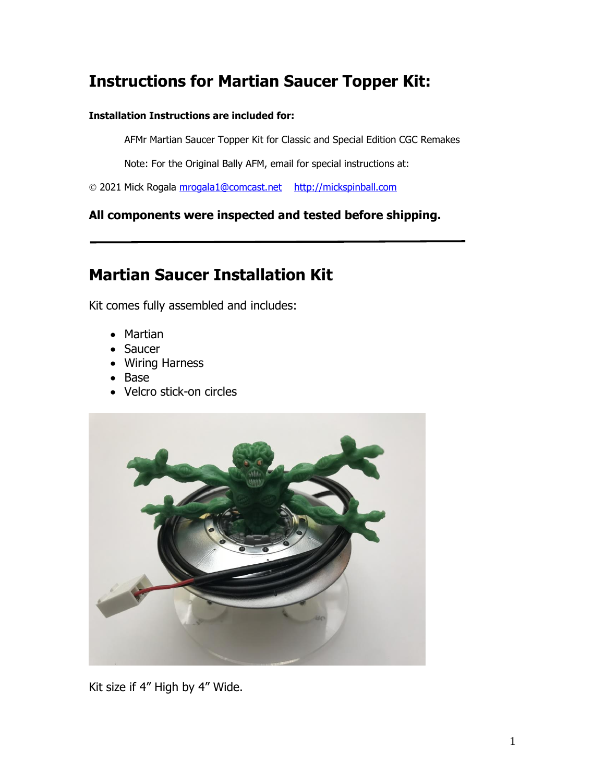## **Instructions for Martian Saucer Topper Kit:**

## **Installation Instructions are included for:**

AFMr Martian Saucer Topper Kit for Classic and Special Edition CGC Remakes

Note: For the Original Bally AFM, email for special instructions at:

© 2021 Mick Rogala [mrogala1@comcast.net](mailto:mrogala1@comcast.net) [http://mickspinball.com](http://mickspinball.com/)

**All components were inspected and tested before shipping.**

## **Martian Saucer Installation Kit**

Kit comes fully assembled and includes:

- Martian
- Saucer
- Wiring Harness
- Base
- Velcro stick-on circles



Kit size if 4" High by 4" Wide.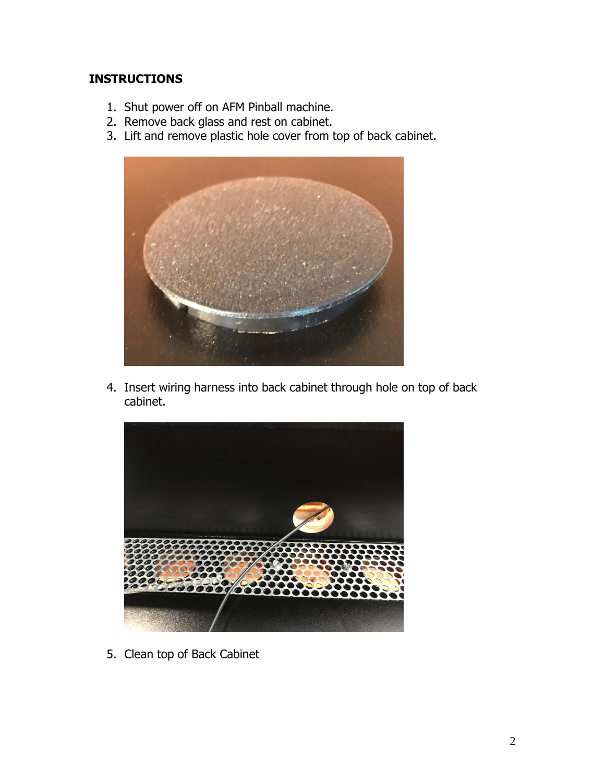## **INSTRUCTIONS**

- 1. Shut power off on AFM Pinball machine.
- 2. Remove back glass and rest on cabinet.
- 3. Lift and remove plastic hole cover from top of back cabinet.



4. Insert wiring harness into back cabinet through hole on top of back cabinet.



5. Clean top of Back Cabinet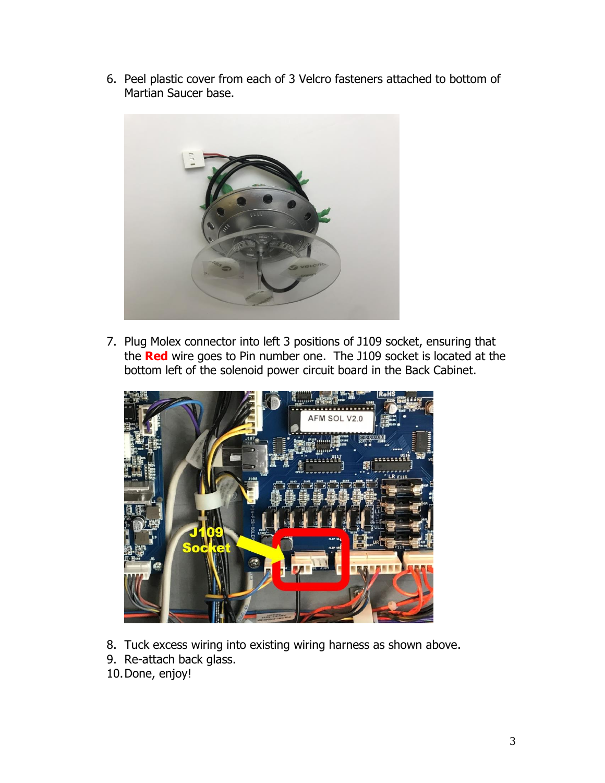6. Peel plastic cover from each of 3 Velcro fasteners attached to bottom of Martian Saucer base.



7. Plug Molex connector into left 3 positions of J109 socket, ensuring that the **Red** wire goes to Pin number one. The J109 socket is located at the bottom left of the solenoid power circuit board in the Back Cabinet.



- 8. Tuck excess wiring into existing wiring harness as shown above.
- 9. Re-attach back glass.
- 10.Done, enjoy!